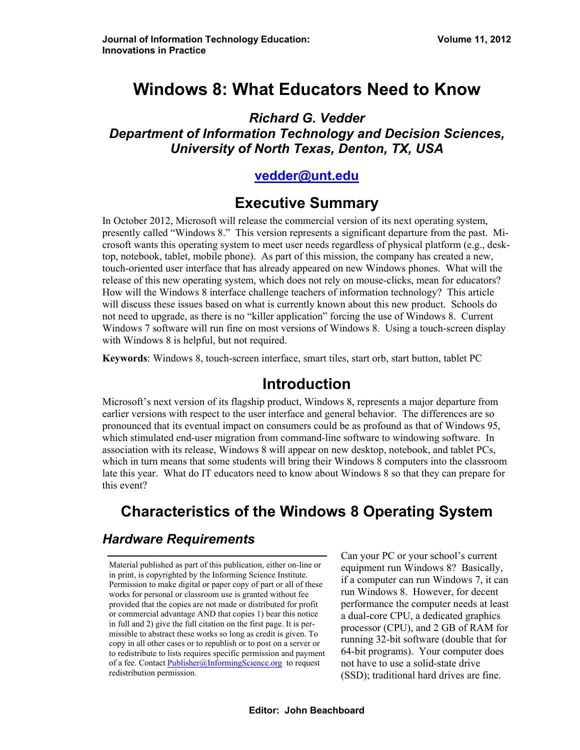# **Windows 8: What Educators Need to Know**

*Richard G. Vedder Department of Information Technology and Decision Sciences, University of North Texas, Denton, TX, USA* 

#### **[vedder@unt.edu](mailto:vedder@unt.edu)**

## **Executive Summary**

In October 2012, Microsoft will release the commercial version of its next operating system, presently called "Windows 8." This version represents a significant departure from the past. Microsoft wants this operating system to meet user needs regardless of physical platform (e.g., desktop, notebook, tablet, mobile phone). As part of this mission, the company has created a new, touch-oriented user interface that has already appeared on new Windows phones. What will the release of this new operating system, which does not rely on mouse-clicks, mean for educators? How will the Windows 8 interface challenge teachers of information technology? This article will discuss these issues based on what is currently known about this new product. Schools do not need to upgrade, as there is no "killer application" forcing the use of Windows 8. Current Windows 7 software will run fine on most versions of Windows 8. Using a touch-screen display with Windows 8 is helpful, but not required.

**Keywords**: Windows 8, touch-screen interface, smart tiles, start orb, start button, tablet PC

#### **Introduction**

Microsoft's next version of its flagship product, Windows 8, represents a major departure from earlier versions with respect to the user interface and general behavior. The differences are so pronounced that its eventual impact on consumers could be as profound as that of Windows 95, which stimulated end-user migration from command-line software to windowing software. In association with its release, Windows 8 will appear on new desktop, notebook, and tablet PCs, which in turn means that some students will bring their Windows 8 computers into the classroom late this year. What do IT educators need to know about Windows 8 so that they can prepare for this event?

# **Characteristics of the Windows 8 Operating System**

#### *Hardware Requirements*

Material published as part of this publication, either on-line or in print, is copyrighted by the Informing Science Institute. Permission to make digital or paper copy of part or all of these works for personal or classroom use is granted without fee provided that the copies are not made or distributed for profit or commercial advantage AND that copies 1) bear this notice in full and 2) give the full citation on the first page. It is permissible to abstract these works so long as credit is given. To copy in all other cases or to republish or to post on a server or to redistribute to lists requires specific permission and payment of a fee. Contact [Publisher@InformingScience.org](mailto:Publisher@InformingScience.org) to request redistribution permission.

Can your PC or your school's current equipment run Windows 8? Basically, if a computer can run Windows 7, it can run Windows 8. However, for decent performance the computer needs at least a dual-core CPU, a dedicated graphics processor (CPU), and 2 GB of RAM for running 32-bit software (double that for 64-bit programs). Your computer does not have to use a solid-state drive (SSD); traditional hard drives are fine.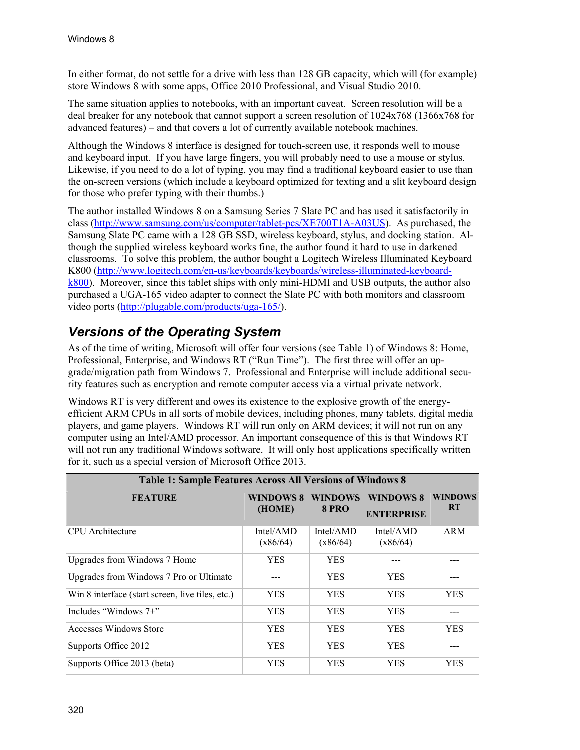In either format, do not settle for a drive with less than 128 GB capacity, which will (for example) store Windows 8 with some apps, Office 2010 Professional, and Visual Studio 2010.

The same situation applies to notebooks, with an important caveat. Screen resolution will be a deal breaker for any notebook that cannot support a screen resolution of 1024x768 (1366x768 for advanced features) – and that covers a lot of currently available notebook machines.

Although the Windows 8 interface is designed for touch-screen use, it responds well to mouse and keyboard input. If you have large fingers, you will probably need to use a mouse or stylus. Likewise, if you need to do a lot of typing, you may find a traditional keyboard easier to use than the on-screen versions (which include a keyboard optimized for texting and a slit keyboard design for those who prefer typing with their thumbs.)

The author installed Windows 8 on a Samsung Series 7 Slate PC and has used it satisfactorily in class (<http://www.samsung.com/us/computer/tablet-pcs/XE700T1A-A03US>). As purchased, the Samsung Slate PC came with a 128 GB SSD, wireless keyboard, stylus, and docking station. Although the supplied wireless keyboard works fine, the author found it hard to use in darkened classrooms. To solve this problem, the author bought a Logitech Wireless Illuminated Keyboard K800 ([http://www.logitech.com/en-us/keyboards/keyboards/wireless-illuminated-keyboard](http://www.logitech.com/en-us/keyboards/keyboards/wireless-illuminated-keyboard-k800)[k800](http://www.logitech.com/en-us/keyboards/keyboards/wireless-illuminated-keyboard-k800)). Moreover, since this tablet ships with only mini-HDMI and USB outputs, the author also purchased a UGA-165 video adapter to connect the Slate PC with both monitors and classroom video ports ([http://plugable.com/products/uga-165/\)](http://plugable.com/products/uga-165/).

#### *Versions of the Operating System*

As of the time of writing, Microsoft will offer four versions (see Table 1) of Windows 8: Home, Professional, Enterprise, and Windows RT ("Run Time"). The first three will offer an upgrade/migration path from Windows 7. Professional and Enterprise will include additional security features such as encryption and remote computer access via a virtual private network.

Windows RT is very different and owes its existence to the explosive growth of the energyefficient ARM CPUs in all sorts of mobile devices, including phones, many tablets, digital media players, and game players. Windows RT will run only on ARM devices; it will not run on any computer using an Intel/AMD processor. An important consequence of this is that Windows RT will not run any traditional Windows software. It will only host applications specifically written for it, such as a special version of Microsoft Office 2013.

| <b>Table 1: Sample Features Across All Versions of Windows 8</b> |                            |                                |                                       |                             |  |  |
|------------------------------------------------------------------|----------------------------|--------------------------------|---------------------------------------|-----------------------------|--|--|
| <b>FEATURE</b>                                                   | <b>WINDOWS 8</b><br>(HOME) | <b>WINDOWS</b><br><b>8 PRO</b> | <b>WINDOWS 8</b><br><b>ENTERPRISE</b> | <b>WINDOWS</b><br><b>RT</b> |  |  |
| <b>CPU</b> Architecture                                          | Intel/AMD<br>(x86/64)      | Intel/AMD<br>(x86/64)          | Intel/AMD<br>(x86/64)                 | ARM                         |  |  |
| Upgrades from Windows 7 Home                                     | <b>YES</b>                 | <b>YES</b>                     |                                       |                             |  |  |
| Upgrades from Windows 7 Pro or Ultimate                          |                            | <b>YES</b>                     | <b>YES</b>                            |                             |  |  |
| Win 8 interface (start screen, live tiles, etc.)                 | <b>YES</b>                 | <b>YES</b>                     | <b>YES</b>                            | <b>YES</b>                  |  |  |
| Includes "Windows $7+$ "                                         | <b>YES</b>                 | <b>YES</b>                     | <b>YES</b>                            | ---                         |  |  |
| Accesses Windows Store                                           | <b>YES</b>                 | <b>YES</b>                     | <b>YES</b>                            | <b>YES</b>                  |  |  |
| Supports Office 2012                                             | <b>YES</b>                 | <b>YES</b>                     | <b>YES</b>                            |                             |  |  |
| Supports Office 2013 (beta)                                      | <b>YES</b>                 | <b>YES</b>                     | <b>YES</b>                            | <b>YES</b>                  |  |  |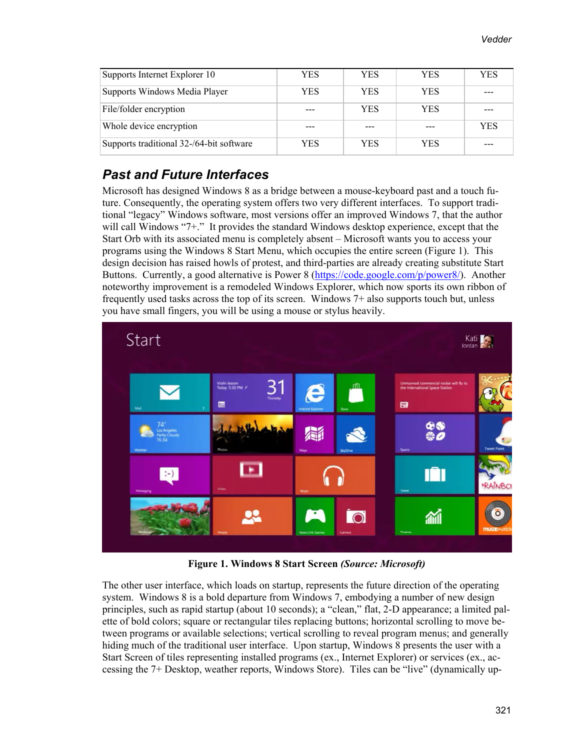| Supports Internet Explorer 10            | YES  | YES        | YES.       | <b>YES</b> |
|------------------------------------------|------|------------|------------|------------|
| Supports Windows Media Player            | YES  | <b>YES</b> | YES.       | ---        |
| File/folder encryption                   |      | <b>YES</b> | <b>YES</b> |            |
| Whole device encryption                  |      |            |            | <b>YES</b> |
| Supports traditional 32-/64-bit software | YES. | YES        | YES.       |            |

#### *Past and Future Interfaces*

Microsoft has designed Windows 8 as a bridge between a mouse-keyboard past and a touch future. Consequently, the operating system offers two very different interfaces. To support traditional "legacy" Windows software, most versions offer an improved Windows 7, that the author will call Windows "7+." It provides the standard Windows desktop experience, except that the Start Orb with its associated menu is completely absent – Microsoft wants you to access your programs using the Windows 8 Start Menu, which occupies the entire screen (Figure 1). This design decision has raised howls of protest, and third-parties are already creating substitute Start Buttons. Currently, a good alternative is Power 8 ([https://code.google.com/p/power8/\)](https://code.google.com/p/power8/). Another noteworthy improvement is a remodeled Windows Explorer, which now sports its own ribbon of frequently used tasks across the top of its screen. Windows 7+ also supports touch but, unless you have small fingers, you will be using a mouse or stylus heavily.



**Figure 1. Windows 8 Start Screen** *(Source: Microsoft)*

The other user interface, which loads on startup, represents the future direction of the operating system. Windows 8 is a bold departure from Windows 7, embodying a number of new design principles, such as rapid startup (about 10 seconds); a "clean," flat, 2-D appearance; a limited palette of bold colors; square or rectangular tiles replacing buttons; horizontal scrolling to move between programs or available selections; vertical scrolling to reveal program menus; and generally hiding much of the traditional user interface. Upon startup, Windows 8 presents the user with a Start Screen of tiles representing installed programs (ex., Internet Explorer) or services (ex., accessing the 7+ Desktop, weather reports, Windows Store). Tiles can be "live" (dynamically up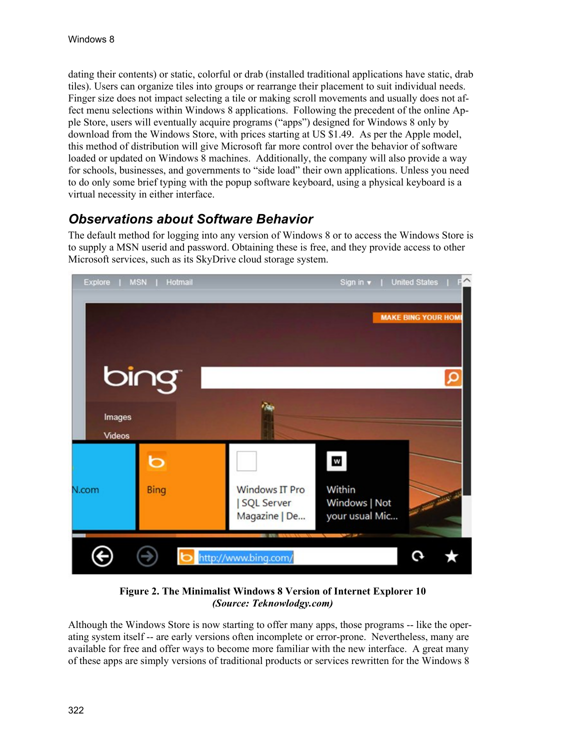dating their contents) or static, colorful or drab (installed traditional applications have static, drab tiles). Users can organize tiles into groups or rearrange their placement to suit individual needs. Finger size does not impact selecting a tile or making scroll movements and usually does not affect menu selections within Windows 8 applications. Following the precedent of the online Apple Store, users will eventually acquire programs ("apps") designed for Windows 8 only by download from the Windows Store, with prices starting at US \$1.49. As per the Apple model, this method of distribution will give Microsoft far more control over the behavior of software loaded or updated on Windows 8 machines. Additionally, the company will also provide a way for schools, businesses, and governments to "side load" their own applications. Unless you need to do only some brief typing with the popup software keyboard, using a physical keyboard is a virtual necessity in either interface.

#### *Observations about Software Behavior*

The default method for logging into any version of Windows 8 or to access the Windows Store is to supply a MSN userid and password. Obtaining these is free, and they provide access to other Microsoft services, such as its SkyDrive cloud storage system.



**Figure 2. The Minimalist Windows 8 Version of Internet Explorer 10**  *(Source: Teknowlodgy.com)* 

Although the Windows Store is now starting to offer many apps, those programs -- like the operating system itself -- are early versions often incomplete or error-prone. Nevertheless, many are available for free and offer ways to become more familiar with the new interface. A great many of these apps are simply versions of traditional products or services rewritten for the Windows 8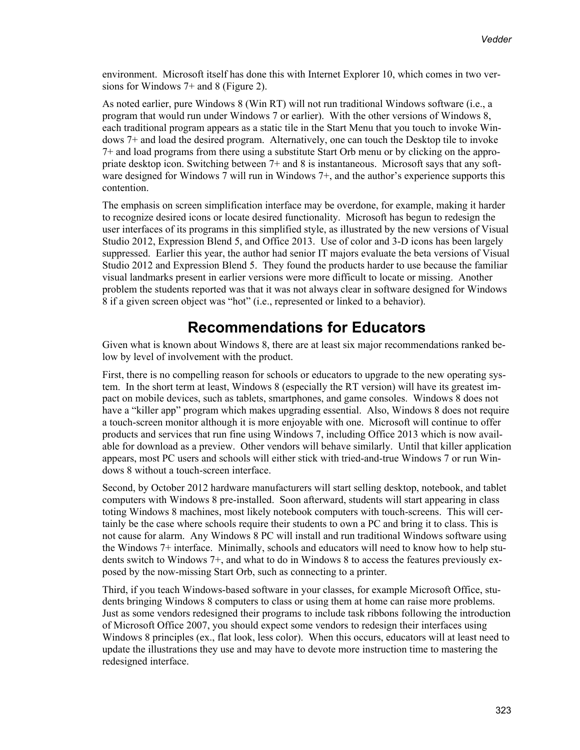environment. Microsoft itself has done this with Internet Explorer 10, which comes in two versions for Windows 7+ and 8 (Figure 2).

As noted earlier, pure Windows 8 (Win RT) will not run traditional Windows software (i.e., a program that would run under Windows 7 or earlier). With the other versions of Windows 8, each traditional program appears as a static tile in the Start Menu that you touch to invoke Windows 7+ and load the desired program. Alternatively, one can touch the Desktop tile to invoke 7+ and load programs from there using a substitute Start Orb menu or by clicking on the appropriate desktop icon. Switching between 7+ and 8 is instantaneous. Microsoft says that any software designed for Windows 7 will run in Windows 7+, and the author's experience supports this contention.

The emphasis on screen simplification interface may be overdone, for example, making it harder to recognize desired icons or locate desired functionality. Microsoft has begun to redesign the user interfaces of its programs in this simplified style, as illustrated by the new versions of Visual Studio 2012, Expression Blend 5, and Office 2013. Use of color and 3-D icons has been largely suppressed. Earlier this year, the author had senior IT majors evaluate the beta versions of Visual Studio 2012 and Expression Blend 5. They found the products harder to use because the familiar visual landmarks present in earlier versions were more difficult to locate or missing. Another problem the students reported was that it was not always clear in software designed for Windows 8 if a given screen object was "hot" (i.e., represented or linked to a behavior).

## **Recommendations for Educators**

Given what is known about Windows 8, there are at least six major recommendations ranked below by level of involvement with the product.

First, there is no compelling reason for schools or educators to upgrade to the new operating system. In the short term at least, Windows 8 (especially the RT version) will have its greatest impact on mobile devices, such as tablets, smartphones, and game consoles. Windows 8 does not have a "killer app" program which makes upgrading essential. Also, Windows 8 does not require a touch-screen monitor although it is more enjoyable with one. Microsoft will continue to offer products and services that run fine using Windows 7, including Office 2013 which is now available for download as a preview. Other vendors will behave similarly. Until that killer application appears, most PC users and schools will either stick with tried-and-true Windows 7 or run Windows 8 without a touch-screen interface.

Second, by October 2012 hardware manufacturers will start selling desktop, notebook, and tablet computers with Windows 8 pre-installed. Soon afterward, students will start appearing in class toting Windows 8 machines, most likely notebook computers with touch-screens. This will certainly be the case where schools require their students to own a PC and bring it to class. This is not cause for alarm. Any Windows 8 PC will install and run traditional Windows software using the Windows 7+ interface. Minimally, schools and educators will need to know how to help students switch to Windows 7+, and what to do in Windows 8 to access the features previously exposed by the now-missing Start Orb, such as connecting to a printer.

Third, if you teach Windows-based software in your classes, for example Microsoft Office, students bringing Windows 8 computers to class or using them at home can raise more problems. Just as some vendors redesigned their programs to include task ribbons following the introduction of Microsoft Office 2007, you should expect some vendors to redesign their interfaces using Windows 8 principles (ex., flat look, less color). When this occurs, educators will at least need to update the illustrations they use and may have to devote more instruction time to mastering the redesigned interface.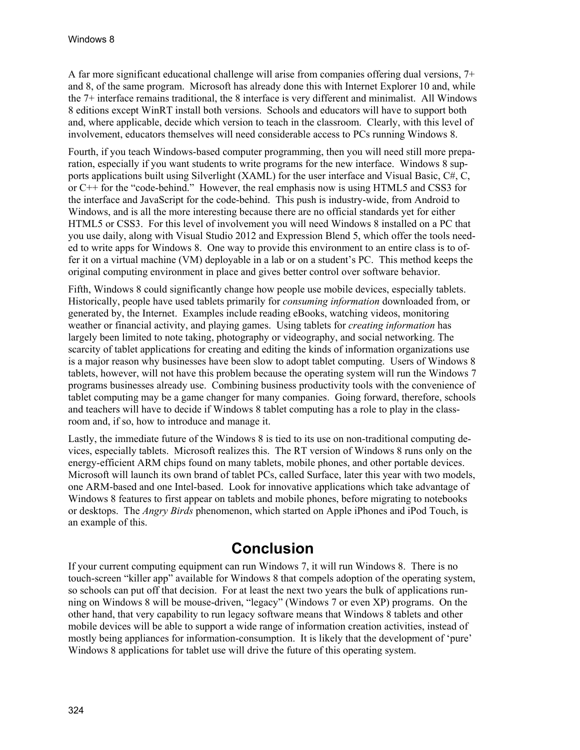A far more significant educational challenge will arise from companies offering dual versions, 7+ and 8, of the same program. Microsoft has already done this with Internet Explorer 10 and, while the 7+ interface remains traditional, the 8 interface is very different and minimalist. All Windows 8 editions except WinRT install both versions. Schools and educators will have to support both and, where applicable, decide which version to teach in the classroom. Clearly, with this level of involvement, educators themselves will need considerable access to PCs running Windows 8.

Fourth, if you teach Windows-based computer programming, then you will need still more preparation, especially if you want students to write programs for the new interface. Windows 8 supports applications built using Silverlight (XAML) for the user interface and Visual Basic, C#, C, or C++ for the "code-behind." However, the real emphasis now is using HTML5 and CSS3 for the interface and JavaScript for the code-behind. This push is industry-wide, from Android to Windows, and is all the more interesting because there are no official standards yet for either HTML5 or CSS3. For this level of involvement you will need Windows 8 installed on a PC that you use daily, along with Visual Studio 2012 and Expression Blend 5, which offer the tools needed to write apps for Windows 8. One way to provide this environment to an entire class is to offer it on a virtual machine (VM) deployable in a lab or on a student's PC. This method keeps the original computing environment in place and gives better control over software behavior.

Fifth, Windows 8 could significantly change how people use mobile devices, especially tablets. Historically, people have used tablets primarily for *consuming information* downloaded from, or generated by, the Internet. Examples include reading eBooks, watching videos, monitoring weather or financial activity, and playing games. Using tablets for *creating information* has largely been limited to note taking, photography or videography, and social networking. The scarcity of tablet applications for creating and editing the kinds of information organizations use is a major reason why businesses have been slow to adopt tablet computing. Users of Windows 8 tablets, however, will not have this problem because the operating system will run the Windows 7 programs businesses already use. Combining business productivity tools with the convenience of tablet computing may be a game changer for many companies. Going forward, therefore, schools and teachers will have to decide if Windows 8 tablet computing has a role to play in the classroom and, if so, how to introduce and manage it.

Lastly, the immediate future of the Windows 8 is tied to its use on non-traditional computing devices, especially tablets. Microsoft realizes this. The RT version of Windows 8 runs only on the energy-efficient ARM chips found on many tablets, mobile phones, and other portable devices. Microsoft will launch its own brand of tablet PCs, called Surface, later this year with two models, one ARM-based and one Intel-based. Look for innovative applications which take advantage of Windows 8 features to first appear on tablets and mobile phones, before migrating to notebooks or desktops. The *Angry Birds* phenomenon, which started on Apple iPhones and iPod Touch, is an example of this.

## **Conclusion**

If your current computing equipment can run Windows 7, it will run Windows 8. There is no touch-screen "killer app" available for Windows 8 that compels adoption of the operating system, so schools can put off that decision. For at least the next two years the bulk of applications running on Windows 8 will be mouse-driven, "legacy" (Windows 7 or even XP) programs. On the other hand, that very capability to run legacy software means that Windows 8 tablets and other mobile devices will be able to support a wide range of information creation activities, instead of mostly being appliances for information-consumption. It is likely that the development of 'pure' Windows 8 applications for tablet use will drive the future of this operating system.